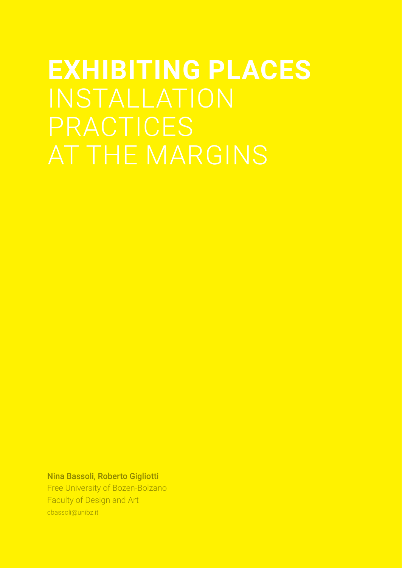# **EXHIBITING PLACES**

Nina Bassoli, Roberto Gigliotti

Free University of Bozen-Bolzano Faculty of Design and Art cbassoli@unibz.it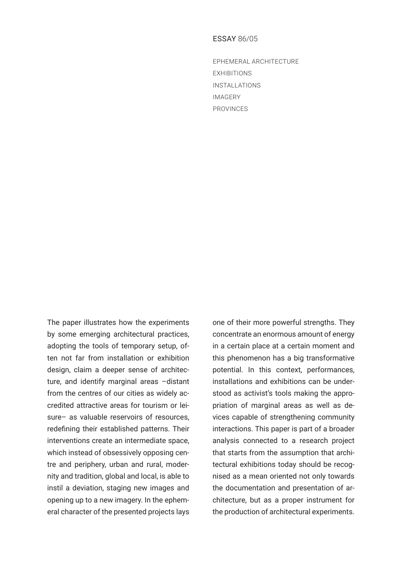# ESSAY 86/05

EPHEMERAL ARCHITECTURE EXHIBITIONS INSTALLATIONS IMAGERY PROVINCES

The paper illustrates how the experiments by some emerging architectural practices, adopting the tools of temporary setup, often not far from installation or exhibition design, claim a deeper sense of architecture, and identify marginal areas –distant from the centres of our cities as widely accredited attractive areas for tourism or leisure– as valuable reservoirs of resources. redefining their established patterns. Their interventions create an intermediate space, which instead of obsessively opposing centre and periphery, urban and rural, modernity and tradition, global and local, is able to instil a deviation, staging new images and opening up to a new imagery. In the ephemeral character of the presented projects lays

one of their more powerful strengths. They concentrate an enormous amount of energy in a certain place at a certain moment and this phenomenon has a big transformative potential. In this context, performances, installations and exhibitions can be understood as activist's tools making the appropriation of marginal areas as well as devices capable of strengthening community interactions. This paper is part of a broader analysis connected to a research project that starts from the assumption that architectural exhibitions today should be recognised as a mean oriented not only towards the documentation and presentation of architecture, but as a proper instrument for the production of architectural experiments.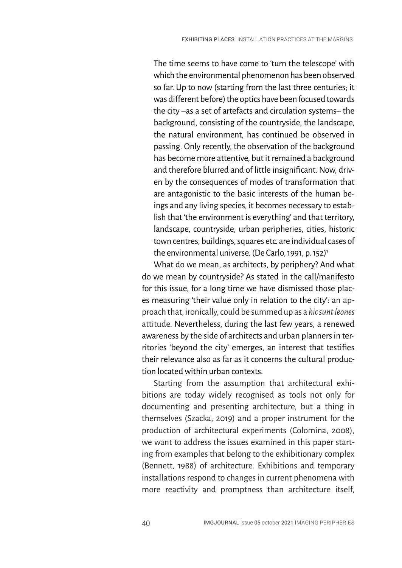The time seems to have come to 'turn the telescope' with which the environmental phenomenon has been observed so far. Up to now (starting from the last three centuries; it was different before) the optics have been focused towards the city –as a set of artefacts and circulation systems– the background, consisting of the countryside, the landscape, the natural environment, has continued be observed in passing. Only recently, the observation of the background has become more attentive, but it remained a background and therefore blurred and of little insignificant. Now, driven by the consequences of modes of transformation that are antagonistic to the basic interests of the human beings and any living species, it becomes necessary to establish that 'the environment is everything' and that territory, landscape, countryside, urban peripheries, cities, historic town centres, buildings, squares etc. are individual cases of the environmental universe. (De Carlo, 1991, p. 152)<sup>1</sup>

What do we mean, as architects, by periphery? And what do we mean by countryside? As stated in the call/manifesto for this issue, for a long time we have dismissed those places measuring 'their value only in relation to the city': an approach that, ironically, could be summed up as a *hic sunt leones* attitude. Nevertheless, during the last few years, a renewed awareness by the side of architects and urban planners in territories 'beyond the city' emerges, an interest that testifies their relevance also as far as it concerns the cultural production located within urban contexts.

Starting from the assumption that architectural exhibitions are today widely recognised as tools not only for documenting and presenting architecture, but a thing in themselves (Szacka, 2019) and a proper instrument for the production of architectural experiments (Colomina, 2008), we want to address the issues examined in this paper starting from examples that belong to the exhibitionary complex (Bennett, 1988) of architecture. Exhibitions and temporary installations respond to changes in current phenomena with more reactivity and promptness than architecture itself,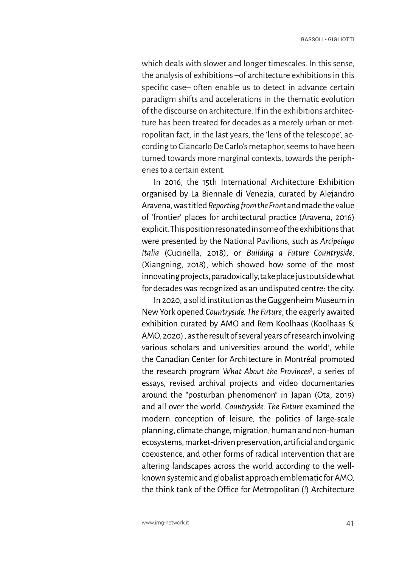which deals with slower and longer timescales. In this sense, the analysis of exhibitions –of architecture exhibitions in this specific case– often enable us to detect in advance certain paradigm shifts and accelerations in the thematic evolution of the discourse on architecture. If in the exhibitions architecture has been treated for decades as a merely urban or metropolitan fact, in the last years, the 'lens of the telescope', according to Giancarlo De Carlo's metaphor, seems to have been turned towards more marginal contexts, towards the peripheries to a certain extent.

In 2016, the 15th International Architecture Exhibition organised by La Biennale di Venezia, curated by Alejandro Aravena, was titled *Reporting from the Front* and made the value of 'frontier' places for architectural practice (Aravena, 2016) explicit. This position resonated in some of the exhibitions that were presented by the National Pavilions, such as *Arcipelago Italia* (Cucinella, 2018), or *Building a Future Countryside*, (Xiangning, 2018), which showed how some of the most innovating projects, paradoxically, take place just outside what for decades was recognized as an undisputed centre: the city.

In 2020, a solid institution as the Guggenheim Museum in New York opened *Countryside. The Future*, the eagerly awaited exhibition curated by AMO and Rem Koolhaas (Koolhaas & AMO, 2020) , as the result of several years of research involving various scholars and universities around the world<sup>1</sup>, while the Canadian Center for Architecture in Montréal promoted the research program *What About the Provinces*<sup>3</sup> , a series of essays, revised archival projects and video documentaries around the "posturban phenomenon" in Japan (Ota, 2019) and all over the world. *Countryside. The Future* examined the modern conception of leisure, the politics of large-scale planning, climate change, migration, human and non-human ecosystems, market-driven preservation, artificial and organic coexistence, and other forms of radical intervention that are altering landscapes across the world according to the wellknown systemic and globalist approach emblematic for AMO, the think tank of the Office for Metropolitan (!) Architecture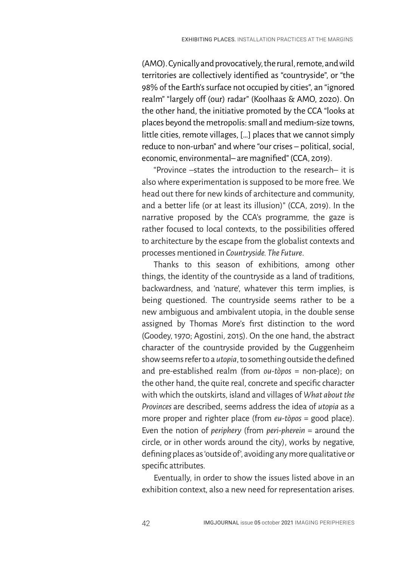(AMO). Cynically and provocatively, the rural, remote, and wild territories are collectively identified as "countryside", or "the 98% of the Earth's surface not occupied by cities", an "ignored realm" "largely off (our) radar" (Koolhaas & AMO, 2020). On the other hand, the initiative promoted by the CCA "looks at places beyond the metropolis: small and medium-size towns, little cities, remote villages, […] places that we cannot simply reduce to non-urban" and where "our crises – political, social, economic, environmental– are magnified" (CCA, 2019).

"Province –states the introduction to the research– it is also where experimentation is supposed to be more free. We head out there for new kinds of architecture and community, and a better life (or at least its illusion)" (CCA, 2019). In the narrative proposed by the CCA's programme, the gaze is rather focused to local contexts, to the possibilities offered to architecture by the escape from the globalist contexts and processes mentioned in *Countryside. The Future*.

Thanks to this season of exhibitions, among other things, the identity of the countryside as a land of traditions, backwardness, and 'nature', whatever this term implies, is being questioned. The countryside seems rather to be a new ambiguous and ambivalent utopia, in the double sense assigned by Thomas More's first distinction to the word (Goodey, 1970; Agostini, 2015). On the one hand, the abstract character of the countryside provided by the Guggenheim show seems refer to a *utopia*, to something outside the defined and pre-established realm (from *ou-tòpos* = non-place); on the other hand, the quite real, concrete and specific character with which the outskirts, island and villages of *What about the Provinces* are described, seems address the idea of *utopia* as a more proper and righter place (from *eu-tòpos* = good place). Even the notion of *periphery* (from *peri*-*pherein* = around the circle, or in other words around the city), works by negative, defining places as 'outside of', avoiding any more qualitative or specific attributes.

Eventually, in order to show the issues listed above in an exhibition context, also a new need for representation arises.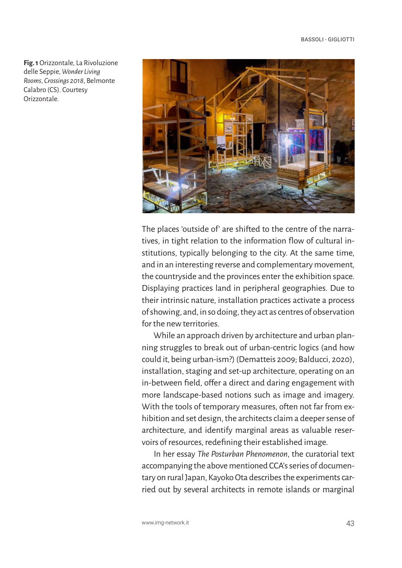**Fig. 1** Orizzontale, La Rivoluzione delle Seppie, *Wonder Living Rooms*, *Crossings 2018*, Belmonte Calabro (CS). Courtesy Orizzontale.



The places 'outside of' are shifted to the centre of the narratives, in tight relation to the information flow of cultural institutions, typically belonging to the city. At the same time, and in an interesting reverse and complementary movement, the countryside and the provinces enter the exhibition space. Displaying practices land in peripheral geographies. Due to their intrinsic nature, installation practices activate a process of showing, and, in so doing, they act as centres of observation for the new territories.

While an approach driven by architecture and urban planning struggles to break out of urban-centric logics (and how could it, being urban-ism?) (Dematteis 2009; Balducci, 2020), installation, staging and set-up architecture, operating on an in-between field, offer a direct and daring engagement with more landscape-based notions such as image and imagery. With the tools of temporary measures, often not far from exhibition and set design, the architects claim a deeper sense of architecture, and identify marginal areas as valuable reservoirs of resources, redefining their established image.

In her essay *The Posturban Phenomenon*, the curatorial text accompanying the above mentioned CCA's series of documentary on rural Japan, Kayoko Ota describes the experiments carried out by several architects in remote islands or marginal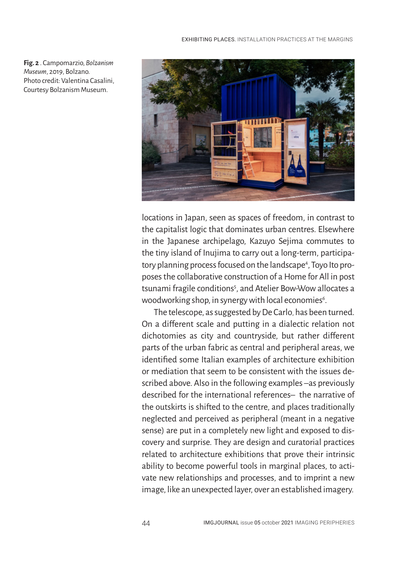

locations in Japan, seen as spaces of freedom, in contrast to the capitalist logic that dominates urban centres. Elsewhere in the Japanese archipelago, Kazuyo Sejima commutes to the tiny island of Inujima to carry out a long-term, participatory planning process focused on the landscape<sup>4</sup>, Toyo Ito proposes the collaborative construction of a Home for All in post tsunami fragile conditions<sup>5</sup>, and Atelier Bow-Wow allocates a woodworking shop, in synergy with local economies $^{\circ}$ .

The telescope, as suggested by De Carlo, has been turned. On a different scale and putting in a dialectic relation not dichotomies as city and countryside, but rather different parts of the urban fabric as central and peripheral areas, we identified some Italian examples of architecture exhibition or mediation that seem to be consistent with the issues described above. Also in the following examples –as previously described for the international references– the narrative of the outskirts is shifted to the centre, and places traditionally neglected and perceived as peripheral (meant in a negative sense) are put in a completely new light and exposed to discovery and surprise. They are design and curatorial practices related to architecture exhibitions that prove their intrinsic ability to become powerful tools in marginal places, to activate new relationships and processes, and to imprint a new image, like an unexpected layer, over an established imagery.

**Fig. 2** . Campomarzio, *Bolzanism Museum*, 2019, Bolzano. Photo credit: Valentina Casalini, Courtesy Bolzanism Museum.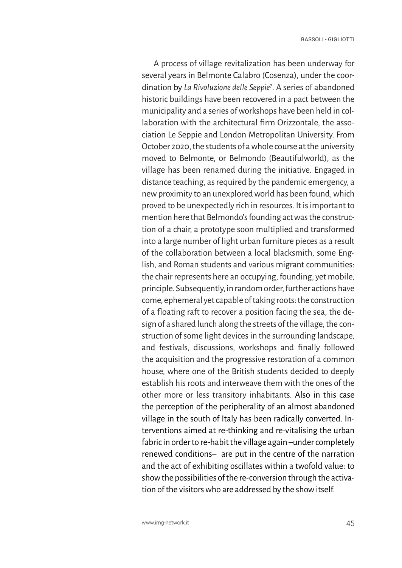A process of village revitalization has been underway for several years in Belmonte Calabro (Cosenza), under the coordination by *La Rivoluzione delle Seppie*<sup>7</sup> . A series of abandoned historic buildings have been recovered in a pact between the municipality and a series of workshops have been held in collaboration with the architectural firm Orizzontale, the association Le Seppie and London Metropolitan University. From October 2020, the students of a whole course at the university moved to Belmonte, or Belmondo (Beautifulworld), as the village has been renamed during the initiative. Engaged in distance teaching, as required by the pandemic emergency, a new proximity to an unexplored world has been found, which proved to be unexpectedly rich in resources. It is important to mention here that Belmondo's founding act was the construction of a chair, a prototype soon multiplied and transformed into a large number of light urban furniture pieces as a result of the collaboration between a local blacksmith, some English, and Roman students and various migrant communities: the chair represents here an occupying, founding, yet mobile, principle. Subsequently, in random order, further actions have come, ephemeral yet capable of taking roots: the construction of a floating raft to recover a position facing the sea, the design of a shared lunch along the streets of the village, the construction of some light devices in the surrounding landscape, and festivals, discussions, workshops and finally followed the acquisition and the progressive restoration of a common house, where one of the British students decided to deeply establish his roots and interweave them with the ones of the other more or less transitory inhabitants. Also in this case the perception of the peripherality of an almost abandoned village in the south of Italy has been radically converted. Interventions aimed at re-thinking and re-vitalising the urban fabric in order to re-habit the village again –under completely renewed conditions– are put in the centre of the narration and the act of exhibiting oscillates within a twofold value: to show the possibilities of the re-conversion through the activation of the visitors who are addressed by the show itself.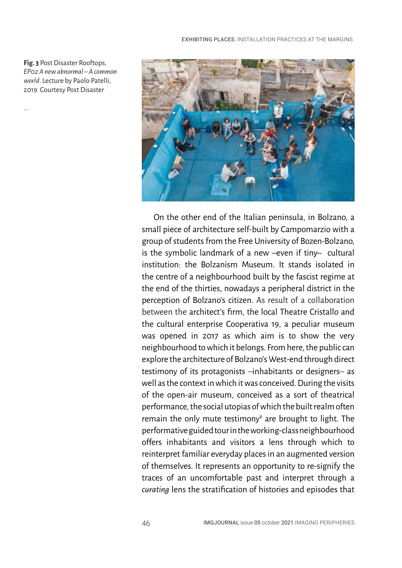**Fig. 3** Post Disaster Rooftops, *EP02 A new abnormal – A common world*. Lecture by Paolo Patelli, 2019. Courtesy Post Disaster

...



On the other end of the Italian peninsula, in Bolzano, a small piece of architecture self-built by Campomarzio with a group of students from the Free University of Bozen-Bolzano, is the symbolic landmark of a new –even if tiny– cultural institution: the Bolzanism Museum. It stands isolated in the centre of a neighbourhood built by the fascist regime at the end of the thirties, nowadays a peripheral district in the perception of Bolzano's citizen. As result of a collaboration between the architect's firm, the local Theatre Cristallo and the cultural enterprise Cooperativa 19, a peculiar museum was opened in 2017 as which aim is to show the very neighbourhood to which it belongs. From here, the public can explore the architecture of Bolzano's West-end through direct testimony of its protagonists –inhabitants or designers– as well as the context in which it was conceived. During the visits of the open-air museum, conceived as a sort of theatrical performance, the social utopias of which the built realm often remain the only mute testimony<sup>8</sup> are brought to light. The performative guided tour in the working-class neighbourhood offers inhabitants and visitors a lens through which to reinterpret familiar everyday places in an augmented version of themselves. It represents an opportunity to re-signify the traces of an uncomfortable past and interpret through a *curating* lens the stratification of histories and episodes that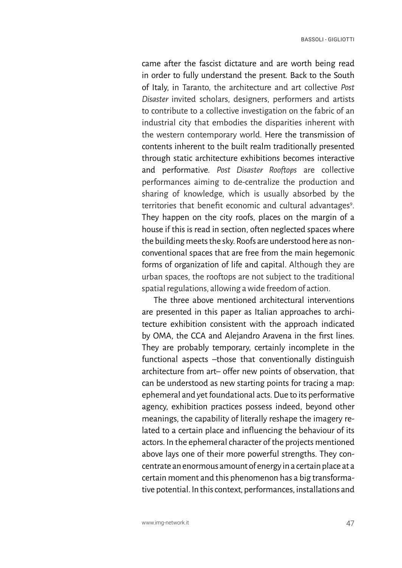came after the fascist dictature and are worth being read in order to fully understand the present. Back to the South of Italy, in Taranto, the architecture and art collective *Post Disaster* invited scholars, designers, performers and artists to contribute to a collective investigation on the fabric of an industrial city that embodies the disparities inherent with the western contemporary world. Here the transmission of contents inherent to the built realm traditionally presented through static architecture exhibitions becomes interactive and performative. *Post Disaster Rooftops* are collective performances aiming to de-centralize the production and sharing of knowledge, which is usually absorbed by the territories that benefit economic and cultural advantages<sup>9</sup>. They happen on the city roofs, places on the margin of a house if this is read in section, often neglected spaces where the building meets the sky. Roofs are understood here as nonconventional spaces that are free from the main hegemonic forms of organization of life and capital. Although they are urban spaces, the rooftops are not subject to the traditional spatial regulations, allowing a wide freedom of action.

The three above mentioned architectural interventions are presented in this paper as Italian approaches to architecture exhibition consistent with the approach indicated by OMA, the CCA and Alejandro Aravena in the first lines. They are probably temporary, certainly incomplete in the functional aspects –those that conventionally distinguish architecture from art– offer new points of observation, that can be understood as new starting points for tracing a map: ephemeral and yet foundational acts. Due to its performative agency, exhibition practices possess indeed, beyond other meanings, the capability of literally reshape the imagery related to a certain place and influencing the behaviour of its actors. In the ephemeral character of the projects mentioned above lays one of their more powerful strengths. They concentrate an enormous amount of energy in a certain place at a certain moment and this phenomenon has a big transformative potential. In this context, performances, installations and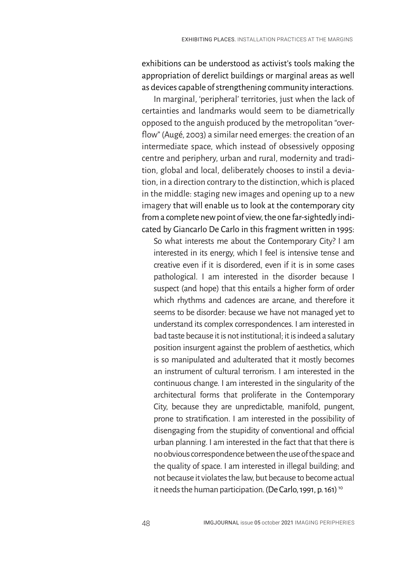exhibitions can be understood as activist's tools making the appropriation of derelict buildings or marginal areas as well as devices capable of strengthening community interactions.

In marginal, 'peripheral' territories, just when the lack of certainties and landmarks would seem to be diametrically opposed to the anguish produced by the metropolitan "overflow" (Augé, 2003) a similar need emerges: the creation of an intermediate space, which instead of obsessively opposing centre and periphery, urban and rural, modernity and tradition, global and local, deliberately chooses to instil a deviation, in a direction contrary to the distinction, which is placed in the middle: staging new images and opening up to a new imagery that will enable us to look at the contemporary city from a complete new point of view, the one far-sightedly indicated by Giancarlo De Carlo in this fragment written in 1995:

So what interests me about the Contemporary City? I am interested in its energy, which I feel is intensive tense and creative even if it is disordered, even if it is in some cases pathological. I am interested in the disorder because I suspect (and hope) that this entails a higher form of order which rhythms and cadences are arcane, and therefore it seems to be disorder: because we have not managed yet to understand its complex correspondences. I am interested in bad taste because it is not institutional; it is indeed a salutary position insurgent against the problem of aesthetics, which is so manipulated and adulterated that it mostly becomes an instrument of cultural terrorism. I am interested in the continuous change. I am interested in the singularity of the architectural forms that proliferate in the Contemporary City, because they are unpredictable, manifold, pungent, prone to stratification. I am interested in the possibility of disengaging from the stupidity of conventional and official urban planning. I am interested in the fact that that there is no obvious correspondence between the use of the space and the quality of space. I am interested in illegal building; and not because it violates the law, but because to become actual it needs the human participation*.* (De Carlo, 1991, p. 161) 10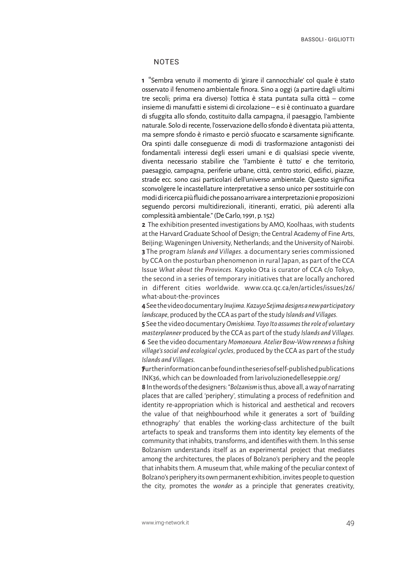## **NOTES**

**1** "Sembra venuto il momento di 'girare il cannocchiale' col quale è stato osservato il fenomeno ambientale finora. Sino a oggi (a partire dagli ultimi tre secoli; prima era diverso) l'ottica è stata puntata sulla città – come insieme di manufatti e sistemi di circolazione – e si è continuato a guardare di sfuggita allo sfondo, costituito dalla campagna, il paesaggio, l'ambiente naturale. Solo di recente, l'osservazione dello sfondo è diventata più attenta, ma sempre sfondo è rimasto e perciò sfuocato e scarsamente significante. Ora spinti dalle conseguenze di modi di trasformazione antagonisti dei fondamentali interessi degli esseri umani e di qualsiasi specie vivente, diventa necessario stabilire che 'l'ambiente è tutto' e che territorio, paesaggio, campagna, periferie urbane, città, centro storici, edifici, piazze, strade ecc. sono casi particolari dell'universo ambientale. Questo significa sconvolgere le incastellature interpretative a senso unico per sostituirle con modi di ricerca più fluidi che possano arrivare a interpretazioni e proposizioni seguendo percorsi multidirezionali, itineranti, erratici, più aderenti alla complessità ambientale." (De Carlo, 1991, p. 152)

**2** The exhibition presented investigations by AMO, Koolhaas, with students at the Harvard Graduate School of Design; the Central Academy of Fine Arts, Beijing; Wageningen University, Netherlands; and the University of Nairobi. **3** The program *Islands and Villages.* a documentary series commissioned by CCA on the posturban phenomenon in rural Japan, as part of the CCA Issue *What about the Provinces.* Kayoko Ota is curator of CCA c/o Tokyo, the second in a series of temporary initiatives that are locally anchored in different cities worldwide. www.cca.qc.ca/en/articles/issues/26/ what-about-the-provinces

**4** See the video documentary *Inujima. Kazuyo Sejima designs a new participatory landscape*, produced by the CCA as part of the study *Islands and Villages.*

**5** See the video documentary *Omishima. Toyo Ito assumes the role of voluntary masterplanner* produced by the CCA as part of the study *Islands and Villages.* **6** See the video documentary *Momonoura. Atelier Bow-Wow renews a fishing village's social and ecological cycles*, produced by the CCA as part of the study *Islands and Villages*.

**7**Further information can be found in the series of self-published publications INK36, which can be downloaded from larivoluzionedelleseppie.org/

**8** In the words of the designers: "*Bolzanism* is thus, above all, a way of narrating places that are called 'periphery', stimulating a process of redefinition and identity re-appropriation which is historical and aesthetical and recovers the value of that neighbourhood while it generates a sort of 'building ethnography' that enables the working-class architecture of the built artefacts to speak and transforms them into identity key elements of the community that inhabits, transforms, and identifies with them. In this sense Bolzanism understands itself as an experimental project that mediates among the architectures, the places of Bolzano's periphery and the people that inhabits them. A museum that, while making of the peculiar context of Bolzano's periphery its own permanent exhibition, invites people to question the city, promotes the *wonder* as a principle that generates creativity,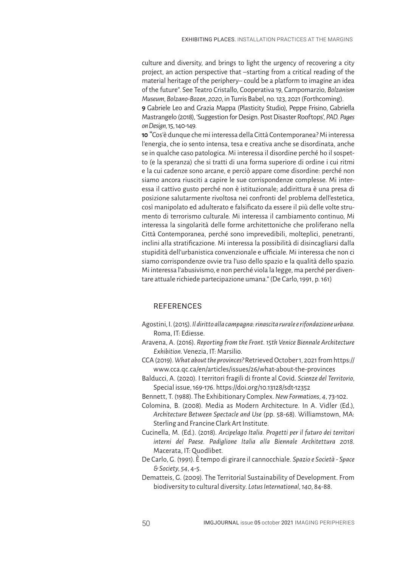culture and diversity, and brings to light the urgency of recovering a city project, an action perspective that –starting from a critical reading of the material heritage of the periphery– could be a platform to imagine an idea of the future". See Teatro Cristallo, Cooperativa 19, Campomarzio, *Bolzanism Museum*, *Bolzano-Bozen, 2020*, in Turris Babel, no. 123, 2021 (Forthcoming).

**9** Gabriele Leo and Grazia Mappa (Plasticity Studio), Peppe Frisino, Gabriella Mastrangelo (2018), 'Suggestion for Design. Post Disaster Rooftops', *PAD. Pages on Design*, 15, 140-149.

**10** "Cos'è dunque che mi interessa della Città Contemporanea? Mi interessa l'energia, che io sento intensa, tesa e creativa anche se disordinata, anche se in qualche caso patologica. Mi interessa il disordine perché ho il sospetto (e la speranza) che si tratti di una forma superiore di ordine i cui ritmi e la cui cadenze sono arcane, e perciò appare come disordine: perché non siamo ancora riusciti a capire le sue corrispondenze complesse. Mi interessa il cattivo gusto perché non è istituzionale; addirittura è una presa di posizione salutarmente rivoltosa nei confronti del problema dell'estetica, così manipolato ed adulterato e falsificato da essere il più delle volte strumento di terrorismo culturale. Mi interessa il cambiamento continuo, Mi interessa la singolarità delle forme architettoniche che proliferano nella Città Contemporanea, perché sono imprevedibili, molteplici, penetranti, inclini alla stratificazione. Mi interessa la possibilità di disincagliarsi dalla stupidità dell'urbanistica convenzionale e ufficiale. Mi interessa che non ci siamo corrispondenze ovvie tra l'uso dello spazio e la qualità dello spazio. Mi interessa l'abusivismo, e non perché viola la legge, ma perché per diventare attuale richiede partecipazione umana." (De Carlo, 1991, p. 161)

# REFERENCES

- Agostini, I. (2015). *Il diritto alla campagna: rinascita rurale e rifondazione urbana*. Roma, IT: Ediesse.
- Aravena, A. (2016). *Reporting from the Front. 15th Venice Biennale Architecture Exhibition*. Venezia, IT: Marsilio.
- CCA (2019). *What about the provinces?* Retrieved October 1, 2021 from https:// www.cca.qc.ca/en/articles/issues/26/what-about-the-provinces
- Balducci, A. (2020). I territori fragili di fronte al Covid. *Scienze del Territorio*, Special issue, 169-176. https://doi.org/10.13128/sdt-12352
- Bennett, T. (1988). The Exhibitionary Complex. *New Formations*, *4*, 73-102.
- Colomina, B. (2008). Media as Modern Architecture. In A. Vidler (Ed.), *Architecture Between Spectacle and Use* (pp. 58-68). Williamstown, MA: Sterling and Francine Clark Art Institute.
- Cucinella, M. (Ed.). (2018). *Arcipelago Italia. Progetti per il futuro dei territori interni del Paese. Padiglione Italia alla Biennale Architettura 2018*. Macerata, IT: Quodlibet.
- De Carlo, G. (1991). È tempo di girare il cannocchiale. *Spazio e Società Space & Society*, *54*, 4-5.
- Dematteis, G. (2009). The Territorial Sustainability of Development. From biodiversity to cultural diversity. *Lotus International*, *140*, 84-88.